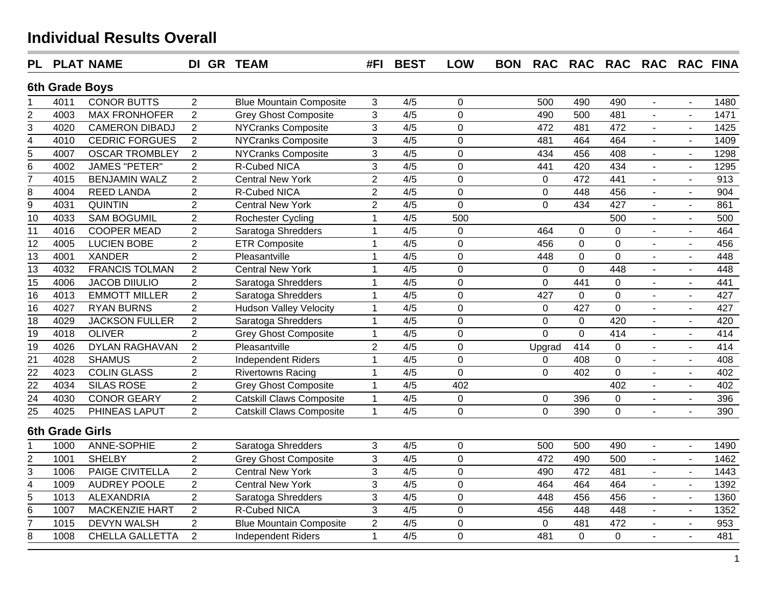| <b>PL</b>       |                        | <b>PLAT NAME</b>       | DI GR TEAM     |                                 | #FI            | <b>BEST</b>      | <b>LOW</b>     | <b>BON</b> | <b>RAC</b>     |                | RAC RAC RAC RAC FINA |                          |                |      |
|-----------------|------------------------|------------------------|----------------|---------------------------------|----------------|------------------|----------------|------------|----------------|----------------|----------------------|--------------------------|----------------|------|
|                 | 6th Grade Boys         |                        |                |                                 |                |                  |                |            |                |                |                      |                          |                |      |
|                 | 4011                   | <b>CONOR BUTTS</b>     | $\overline{2}$ | <b>Blue Mountain Composite</b>  | 3              | 4/5              | $\mathbf 0$    |            | 500            | 490            | 490                  | $\blacksquare$           | $\sim$         | 1480 |
| $\overline{c}$  | 4003                   | <b>MAX FRONHOFER</b>   | $\overline{2}$ | <b>Grey Ghost Composite</b>     | $\overline{3}$ | 4/5              | $\overline{0}$ |            | 490            | 500            | 481                  |                          |                | 1471 |
| $\overline{3}$  | 4020                   | <b>CAMERON DIBADJ</b>  | $\overline{2}$ | <b>NYCranks Composite</b>       | 3              | 4/5              | $\mathbf 0$    |            | 472            | 481            | 472                  | $\blacksquare$           |                | 1425 |
| $\overline{4}$  | 4010                   | <b>CEDRIC FORGUES</b>  | $\overline{2}$ | <b>NYCranks Composite</b>       | 3              | 4/5              | $\mathbf 0$    |            | 481            | 464            | 464                  | $\overline{a}$           |                | 1409 |
| $\overline{5}$  | 4007                   | <b>OSCAR TROMBLEY</b>  | $\overline{2}$ | <b>NYCranks Composite</b>       | 3              | 4/5              | $\mathbf 0$    |            | 434            | 456            | 408                  |                          | ä,             | 1298 |
| $\overline{6}$  | 4002                   | <b>JAMES "PETER"</b>   | $\overline{2}$ | R-Cubed NICA                    | 3              | 4/5              | $\mathbf 0$    |            | 441            | 420            | 434                  | ä,                       | ä,             | 1295 |
| $\overline{7}$  | 4015                   | <b>BENJAMIN WALZ</b>   | $\overline{2}$ | <b>Central New York</b>         | $\overline{2}$ | 4/5              | $\overline{0}$ |            | $\mathbf{0}$   | 472            | 441                  |                          |                | 913  |
| $\bf8$          | 4004                   | <b>REED LANDA</b>      | $\overline{2}$ | R-Cubed NICA                    | $\overline{c}$ | 4/5              | $\overline{0}$ |            | $\mathbf 0$    | 448            | 456                  | $\overline{a}$           | $\overline{a}$ | 904  |
| $\overline{9}$  | 4031                   | <b>QUINTIN</b>         | $\overline{2}$ | <b>Central New York</b>         | $\overline{2}$ | 4/5              | $\overline{0}$ |            | $\overline{0}$ | 434            | 427                  | ÷,                       | ä,             | 861  |
| $\overline{10}$ | 4033                   | <b>SAM BOGUMIL</b>     | $\overline{2}$ | <b>Rochester Cycling</b>        | $\mathbf{1}$   | 4/5              | 500            |            |                |                | 500                  | $\overline{a}$           | L.             | 500  |
| $\overline{11}$ | 4016                   | <b>COOPER MEAD</b>     | $\overline{2}$ | Saratoga Shredders              | $\mathbf{1}$   | $\overline{4/5}$ | $\mathbf 0$    |            | 464            | 0              | $\mathbf 0$          |                          | $\overline{a}$ | 464  |
| $\overline{12}$ | 4005                   | <b>LUCIEN BOBE</b>     | $\overline{2}$ | <b>ETR Composite</b>            | $\mathbf{1}$   | 4/5              | $\mathbf 0$    |            | 456            | $\pmb{0}$      | $\mathsf 0$          | $\blacksquare$           | $\blacksquare$ | 456  |
| $\overline{13}$ | 4001                   | <b>XANDER</b>          | $\overline{2}$ | Pleasantville                   | $\mathbf{1}$   | 4/5              | $\overline{0}$ |            | 448            | $\pmb{0}$      | $\mathsf 0$          |                          | $\blacksquare$ | 448  |
| $\overline{13}$ | 4032                   | <b>FRANCIS TOLMAN</b>  | $\overline{2}$ | <b>Central New York</b>         | $\mathbf{1}$   | 4/5              | $\mathbf 0$    |            | $\mathbf 0$    | $\mathbf 0$    | 448                  | $\blacksquare$           | $\blacksquare$ | 448  |
| $\overline{15}$ | 4006                   | <b>JACOB DIIULIO</b>   | $\overline{2}$ | Saratoga Shredders              | $\mathbf{1}$   | 4/5              | $\mathbf 0$    |            | $\mathbf 0$    | 441            | $\mathbf 0$          | $\blacksquare$           | $\blacksquare$ | 441  |
| $\overline{16}$ | 4013                   | <b>EMMOTT MILLER</b>   | $\overline{2}$ | Saratoga Shredders              | $\mathbf{1}$   | 4/5              | $\mathbf 0$    |            | 427            | $\overline{0}$ | $\overline{0}$       | $\overline{\phantom{a}}$ | $\blacksquare$ | 427  |
| $\overline{16}$ | 4027                   | <b>RYAN BURNS</b>      | $\overline{2}$ | <b>Hudson Valley Velocity</b>   | $\mathbf{1}$   | 4/5              | $\mathbf 0$    |            | $\mathsf 0$    | 427            | $\mathbf 0$          | $\overline{a}$           | $\sim$         | 427  |
| 18              | 4029                   | <b>JACKSON FULLER</b>  | $\overline{2}$ | Saratoga Shredders              | $\mathbf{1}$   | 4/5              | $\mathbf 0$    |            | $\pmb{0}$      | 0              | 420                  | $\blacksquare$           | $\blacksquare$ | 420  |
| $\overline{19}$ | 4018                   | <b>OLIVER</b>          | $\overline{2}$ | <b>Grey Ghost Composite</b>     | $\mathbf{1}$   | 4/5              | $\overline{0}$ |            | $\Omega$       | $\overline{0}$ | 414                  | L.                       | $\overline{a}$ | 414  |
| 19              | 4026                   | <b>DYLAN RAGHAVAN</b>  | $\overline{2}$ | Pleasantville                   | $\overline{2}$ | 4/5              | $\mathbf 0$    |            | Upgrad         | 414            | $\pmb{0}$            |                          | $\blacksquare$ | 414  |
| $\overline{21}$ | 4028                   | <b>SHAMUS</b>          | $\overline{2}$ | <b>Independent Riders</b>       | $\mathbf{1}$   | 4/5              | 0              |            | $\mathbf 0$    | 408            | $\mathbf 0$          | $\blacksquare$           | ÷,             | 408  |
| $\overline{22}$ | 4023                   | <b>COLIN GLASS</b>     | $\overline{2}$ | <b>Rivertowns Racing</b>        | $\mathbf{1}$   | 4/5              | $\overline{0}$ |            | $\mathbf 0$    | 402            | $\mathbf 0$          |                          | $\overline{a}$ | 402  |
| $\overline{22}$ | 4034                   | <b>SILAS ROSE</b>      | $\overline{2}$ | <b>Grey Ghost Composite</b>     | $\mathbf{1}$   | 4/5              | 402            |            |                |                | 402                  | $\mathbf{r}$             | $\blacksquare$ | 402  |
| 24              | 4030                   | <b>CONOR GEARY</b>     | $\overline{2}$ | <b>Catskill Claws Composite</b> | $\mathbf{1}$   | 4/5              | $\pmb{0}$      |            | $\mathbf 0$    | 396            | $\pmb{0}$            |                          | $\blacksquare$ | 396  |
| $\overline{25}$ | 4025                   | PHINEAS LAPUT          | $\overline{2}$ | <b>Catskill Claws Composite</b> | $\mathbf{1}$   | 4/5              | $\overline{0}$ |            | $\overline{0}$ | 390            | $\overline{0}$       | $\blacksquare$           | $\blacksquare$ | 390  |
|                 | <b>6th Grade Girls</b> |                        |                |                                 |                |                  |                |            |                |                |                      |                          |                |      |
| 1               | 1000                   | <b>ANNE-SOPHIE</b>     | $\overline{2}$ | Saratoga Shredders              | 3              | 4/5              | $\pmb{0}$      |            | 500            | 500            | 490                  | $\blacksquare$           | $\sim$         | 1490 |
| $\overline{2}$  | 1001                   | <b>SHELBY</b>          | $\overline{2}$ | <b>Grey Ghost Composite</b>     | $\overline{3}$ | $\overline{4/5}$ | $\overline{0}$ |            | 472            | 490            | 500                  | ÷.                       | $\overline{a}$ | 1462 |
| $\overline{3}$  | 1006                   | PAIGE CIVITELLA        | $\overline{2}$ | <b>Central New York</b>         | 3              | 4/5              | $\overline{0}$ |            | 490            | 472            | 481                  |                          | ä,             | 1443 |
| $\overline{4}$  | 1009                   | <b>AUDREY POOLE</b>    | $\overline{2}$ | <b>Central New York</b>         | 3              | 4/5              | $\mathbf 0$    |            | 464            | 464            | 464                  | $\overline{a}$           | $\overline{a}$ | 1392 |
| $\overline{5}$  | 1013                   | ALEXANDRIA             | $\overline{2}$ | Saratoga Shredders              | 3              | 4/5              | $\mathbf 0$    |            | 448            | 456            | 456                  | $\blacksquare$           | $\sim$         | 1360 |
| $\,6$           | 1007                   | <b>MACKENZIE HART</b>  | $\overline{2}$ | R-Cubed NICA                    | 3              | 4/5              | $\mathbf 0$    |            | 456            | 448            | 448                  | $\overline{a}$           | $\sim$         | 1352 |
| $\overline{7}$  | 1015                   | <b>DEVYN WALSH</b>     | $\overline{2}$ | <b>Blue Mountain Composite</b>  | $\overline{2}$ | 4/5              | $\pmb{0}$      |            | $\pmb{0}$      | 481            | 472                  | $\overline{\phantom{a}}$ | $\blacksquare$ | 953  |
| 8               | 1008                   | <b>CHELLA GALLETTA</b> | 2              | <b>Independent Riders</b>       | $\mathbf{1}$   | 4/5              | $\overline{0}$ |            | 481            | $\overline{0}$ | $\overline{0}$       |                          |                | 481  |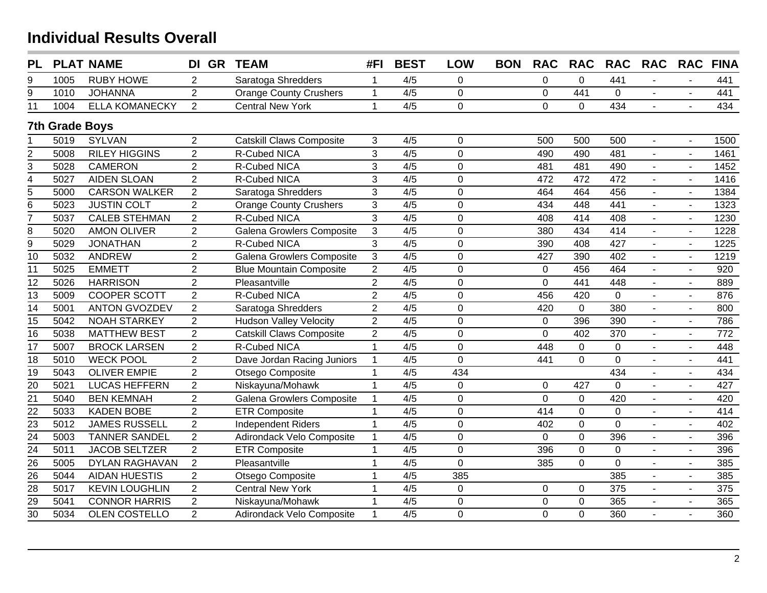| <b>PL</b>               |                       | <b>PLAT NAME</b>      | DI GR          | <b>TEAM</b>                     | #FI            | <b>BEST</b> | <b>LOW</b>     | <b>BON</b> | <b>RAC</b>     | <b>RAC</b>     | <b>RAC</b>       | <b>RAC</b>     | <b>RAC</b>               | <b>FINA</b>     |
|-------------------------|-----------------------|-----------------------|----------------|---------------------------------|----------------|-------------|----------------|------------|----------------|----------------|------------------|----------------|--------------------------|-----------------|
| 9                       | 1005                  | <b>RUBY HOWE</b>      | $\overline{2}$ | Saratoga Shredders              | $\mathbf 1$    | 4/5         | 0              |            | $\pmb{0}$      | $\mathbf 0$    | 441              |                |                          | 441             |
| 9                       | 1010                  | <b>JOHANNA</b>        | $\overline{2}$ | <b>Orange County Crushers</b>   | $\mathbf{1}$   | 4/5         | $\mathbf 0$    |            | $\mathbf 0$    | 441            | $\mathbf 0$      |                |                          | 441             |
| 11                      | 1004                  | <b>ELLA KOMANECKY</b> | $\overline{2}$ | <b>Central New York</b>         | $\mathbf{1}$   | 4/5         | $\mathbf 0$    |            | $\mathbf 0$    | $\mathbf 0$    | 434              | $\sim$         |                          | 434             |
|                         | <b>7th Grade Boys</b> |                       |                |                                 |                |             |                |            |                |                |                  |                |                          |                 |
|                         | 5019                  | <b>SYLVAN</b>         | $\overline{2}$ | <b>Catskill Claws Composite</b> | 3              | 4/5         | $\mathbf 0$    |            | 500            | 500            | 500              | $\overline{a}$ |                          | 1500            |
| $\overline{\mathbf{c}}$ | 5008                  | <b>RILEY HIGGINS</b>  | $\overline{2}$ | <b>R-Cubed NICA</b>             | $\overline{3}$ | 4/5         | $\overline{0}$ |            | 490            | 490            | 481              | $\overline{a}$ | $\overline{a}$           | 1461            |
| 3                       | 5028                  | <b>CAMERON</b>        | $\overline{2}$ | R-Cubed NICA                    | $\overline{3}$ | 4/5         | $\mathbf 0$    |            | 481            | 481            | 490              |                | $\sim$                   | 1452            |
| $\overline{4}$          | 5027                  | <b>AIDEN SLOAN</b>    | $\overline{2}$ | R-Cubed NICA                    | 3              | 4/5         | $\mathbf 0$    |            | 472            | 472            | 472              |                |                          | 1416            |
| $\overline{5}$          | 5000                  | <b>CARSON WALKER</b>  | $\overline{2}$ | Saratoga Shredders              | 3              | 4/5         | $\mathbf 0$    |            | 464            | 464            | 456              |                |                          | 1384            |
| 6                       | 5023                  | <b>JUSTIN COLT</b>    | $\overline{2}$ | <b>Orange County Crushers</b>   | $\mathbf{3}$   | 4/5         | $\mathbf 0$    |            | 434            | 448            | 441              |                |                          | 1323            |
| $\overline{7}$          | 5037                  | <b>CALEB STEHMAN</b>  | $\overline{2}$ | R-Cubed NICA                    | $\overline{3}$ | 4/5         | $\overline{0}$ |            | 408            | 414            | 408              | $\blacksquare$ |                          | 1230            |
| 8                       | 5020                  | <b>AMON OLIVER</b>    | $\overline{2}$ | Galena Growlers Composite       | $\mathfrak{S}$ | 4/5         | $\mathbf 0$    |            | 380            | 434            | 414              | $\blacksquare$ |                          | 1228            |
| $\overline{9}$          | 5029                  | <b>JONATHAN</b>       | $\overline{2}$ | R-Cubed NICA                    | $\overline{3}$ | 4/5         | $\mathbf 0$    |            | 390            | 408            | 427              | $\blacksquare$ | $\overline{\phantom{a}}$ | 1225            |
| 10                      | 5032                  | <b>ANDREW</b>         | $\overline{2}$ | Galena Growlers Composite       | 3              | 4/5         | $\mathbf 0$    |            | 427            | 390            | 402              | $\overline{a}$ | $\blacksquare$           | 1219            |
| $\overline{11}$         | 5025                  | <b>EMMETT</b>         | $\overline{2}$ | <b>Blue Mountain Composite</b>  | $\overline{2}$ | 4/5         | $\overline{0}$ |            | $\mathbf 0$    | 456            | 464              | $\blacksquare$ | $\blacksquare$           | 920             |
| $\overline{12}$         | 5026                  | <b>HARRISON</b>       | $\overline{2}$ | Pleasantville                   | $\overline{2}$ | 4/5         | $\mathbf 0$    |            | $\mathbf 0$    | 441            | 448              | $\overline{a}$ | $\sim$                   | 889             |
| $\overline{13}$         | 5009                  | <b>COOPER SCOTT</b>   | $\overline{2}$ | R-Cubed NICA                    | $\overline{2}$ | 4/5         | $\overline{0}$ |            | 456            | 420            | $\mathbf{0}$     | $\overline{a}$ | $\sim$                   | 876             |
| $\overline{14}$         | 5001                  | <b>ANTON GVOZDEV</b>  | $\overline{2}$ | Saratoga Shredders              | $\overline{2}$ | 4/5         | $\mathbf 0$    |            | 420            | $\mathbf 0$    | 380              | $\sim$         | $\sim$                   | 800             |
| $\overline{15}$         | 5042                  | <b>NOAH STARKEY</b>   | $\overline{2}$ | <b>Hudson Valley Velocity</b>   | $\overline{2}$ | 4/5         | $\overline{0}$ |            | $\mathbf 0$    | 396            | 390              | $\mathbf{r}$   | $\mathbf{r}$             | 786             |
| $\overline{16}$         | 5038                  | <b>MATTHEW BEST</b>   | $\overline{2}$ | <b>Catskill Claws Composite</b> | $\overline{2}$ | 4/5         | $\mathbf 0$    |            | $\overline{0}$ | 402            | $\overline{370}$ | $\blacksquare$ | $\blacksquare$           | $\frac{1}{772}$ |
| 17                      | 5007                  | <b>BROCK LARSEN</b>   | $\overline{2}$ | R-Cubed NICA                    | $\mathbf{1}$   | 4/5         | $\overline{0}$ |            | 448            | $\mathbf 0$    | 0                | $\overline{a}$ | $\overline{a}$           | 448             |
| $\overline{18}$         | 5010                  | <b>WECK POOL</b>      | $\overline{2}$ | Dave Jordan Racing Juniors      | $\mathbf{1}$   | 4/5         | $\overline{0}$ |            | 441            | $\overline{0}$ | $\overline{0}$   | $\blacksquare$ |                          | 441             |
| $\overline{19}$         | 5043                  | <b>OLIVER EMPIE</b>   | $\overline{2}$ | Otsego Composite                | $\mathbf 1$    | 4/5         | 434            |            |                |                | 434              | $\overline{a}$ | $\overline{a}$           | 434             |
| $\overline{20}$         | 5021                  | <b>LUCAS HEFFERN</b>  | $\overline{2}$ | Niskayuna/Mohawk                | $\mathbf{1}$   | 4/5         | $\overline{0}$ |            | $\mathbf 0$    | 427            | $\overline{0}$   |                |                          | 427             |
| $\overline{21}$         | 5040                  | <b>BEN KEMNAH</b>     | $\overline{2}$ | Galena Growlers Composite       | $\mathbf{1}$   | 4/5         | $\mathbf 0$    |            | $\mathbf 0$    | $\pmb{0}$      | 420              |                |                          | 420             |
| $\overline{22}$         | 5033                  | <b>KADEN BOBE</b>     | $\overline{2}$ | <b>ETR Composite</b>            | $\mathbf 1$    | 4/5         | $\mathbf 0$    |            | 414            | $\overline{0}$ | $\mathbf 0$      |                |                          | 414             |
| 23                      | 5012                  | <b>JAMES RUSSELL</b>  | $\overline{2}$ | <b>Independent Riders</b>       | $\mathbf{1}$   | 4/5         | $\mathbf 0$    |            | 402            | $\pmb{0}$      | $\mathbf 0$      |                |                          | 402             |
| $\overline{24}$         | 5003                  | <b>TANNER SANDEL</b>  | $\overline{2}$ | Adirondack Velo Composite       | $\mathbf{1}$   | 4/5         | $\overline{0}$ |            | $\mathbf 0$    | $\overline{0}$ | 396              |                |                          | 396             |
| 24                      | 5011                  | <b>JACOB SELTZER</b>  | $\overline{2}$ | <b>ETR Composite</b>            | $\mathbf{1}$   | 4/5         | $\mathbf 0$    |            | 396            | $\pmb{0}$      | $\mathbf 0$      | $\blacksquare$ | $\overline{\phantom{a}}$ | 396             |
| $\overline{26}$         | 5005                  | <b>DYLAN RAGHAVAN</b> | $\overline{2}$ | Pleasantville                   | $\mathbf{1}$   | 4/5         | $\Omega$       |            | 385            | $\overline{0}$ | $\overline{0}$   | $\blacksquare$ | $\blacksquare$           | 385             |
| 26                      | 5044                  | <b>AIDAN HUESTIS</b>  | $\overline{2}$ | Otsego Composite                | 1              | 4/5         | 385            |            |                |                | 385              | $\blacksquare$ | $\blacksquare$           | 385             |
| $\overline{28}$         | 5017                  | <b>KEVIN LOUGHLIN</b> | $\overline{2}$ | <b>Central New York</b>         | $\mathbf{1}$   | 4/5         | $\mathbf 0$    |            | $\pmb{0}$      | $\mathbf 0$    | $\frac{1}{375}$  | $\overline{a}$ |                          | 375             |
| $\overline{29}$         | 5041                  | <b>CONNOR HARRIS</b>  | $\overline{2}$ | Niskayuna/Mohawk                | $\mathbf{1}$   | 4/5         | $\mathbf 0$    |            | $\mathbf 0$    | $\mathbf 0$    | 365              | $\blacksquare$ | $\sim$                   | 365             |
| $\overline{30}$         | 5034                  | OLEN COSTELLO         | $\overline{2}$ | Adirondack Velo Composite       | $\mathbf{1}$   | 4/5         | $\mathbf 0$    |            | 0              | $\mathbf 0$    | 360              | $\overline{a}$ |                          | 360             |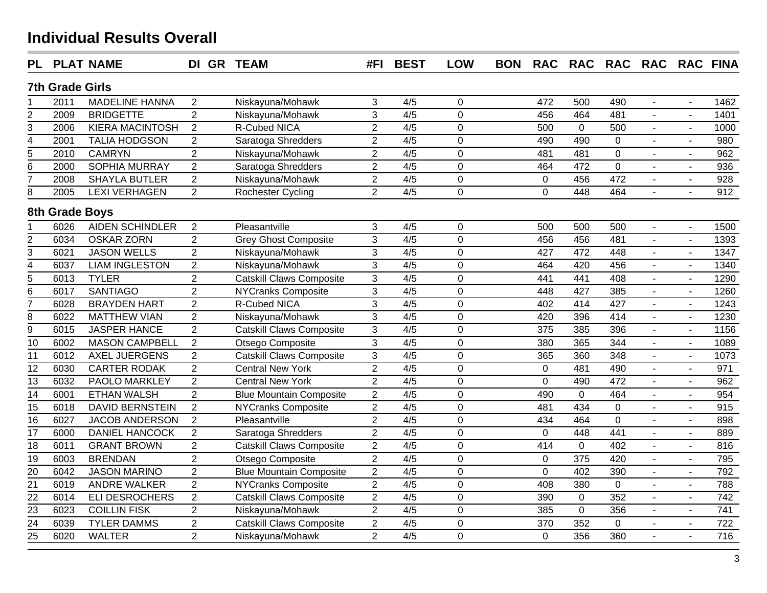| <b>PL</b>               |                        | <b>PLAT NAME</b>       | DI GR TEAM     |                                 | #FI            | <b>BEST</b>      | <b>LOW</b>     | <b>BON</b> | <b>RAC</b>     | <b>RAC</b>     | RAC RAC RAC FINA |                          |                          |                  |
|-------------------------|------------------------|------------------------|----------------|---------------------------------|----------------|------------------|----------------|------------|----------------|----------------|------------------|--------------------------|--------------------------|------------------|
|                         | <b>7th Grade Girls</b> |                        |                |                                 |                |                  |                |            |                |                |                  |                          |                          |                  |
|                         | 2011                   | <b>MADELINE HANNA</b>  | $\overline{2}$ | Niskayuna/Mohawk                | 3              | 4/5              | $\mathbf 0$    |            | 472            | 500            | 490              | $\blacksquare$           | $\blacksquare$           | 1462             |
| 2                       | 2009                   | <b>BRIDGETTE</b>       | $\overline{2}$ | Niskayuna/Mohawk                | 3              | 4/5              | $\overline{0}$ |            | 456            | 464            | 481              |                          |                          | 1401             |
| 3                       | 2006                   | <b>KIERA MACINTOSH</b> | $\sqrt{2}$     | <b>R-Cubed NICA</b>             | $\overline{2}$ | 4/5              | $\overline{0}$ |            | 500            | $\mathbf 0$    | 500              | $\overline{a}$           |                          | 1000             |
| 4                       | 2001                   | <b>TALIA HODGSON</b>   | $\overline{2}$ | Saratoga Shredders              | $\overline{2}$ | 4/5              | $\overline{0}$ |            | 490            | 490            | $\pmb{0}$        | $\sim$                   | $\blacksquare$           | 980              |
| 5                       | 2010                   | <b>CAMRYN</b>          | $\overline{2}$ | Niskayuna/Mohawk                | $\overline{c}$ | 4/5              | $\overline{0}$ |            | 481            | 481            | $\mathbf 0$      | $\blacksquare$           | $\blacksquare$           | 962              |
| 6                       | 2000                   | <b>SOPHIA MURRAY</b>   | $\overline{2}$ | Saratoga Shredders              | $\overline{c}$ | 4/5              | $\overline{0}$ |            | 464            | 472            | $\mathbf 0$      | ÷,                       | $\blacksquare$           | 936              |
| 7                       | 2008                   | <b>SHAYLA BUTLER</b>   | $\overline{2}$ | Niskayuna/Mohawk                | $\overline{c}$ | 4/5              | $\overline{0}$ |            | $\mathbf 0$    | 456            | 472              |                          | $\overline{a}$           | 928              |
| 8                       | 2005                   | <b>LEXI VERHAGEN</b>   | $\overline{2}$ | Rochester Cycling               | $\overline{2}$ | 4/5              | 0              |            | $\overline{0}$ | 448            | 464              | ÷.                       | L.                       | 912              |
|                         | 8th Grade Boys         |                        |                |                                 |                |                  |                |            |                |                |                  |                          |                          |                  |
|                         | 6026                   | <b>AIDEN SCHINDLER</b> | 2              | Pleasantville                   | 3              | 4/5              | 0              |            | 500            | 500            | 500              | $\blacksquare$           | $\blacksquare$           | 1500             |
| $\overline{2}$          | 6034                   | <b>OSKAR ZORN</b>      | $\overline{2}$ | <b>Grey Ghost Composite</b>     | 3              | 4/5              | $\overline{0}$ |            | 456            | 456            | 481              | $\blacksquare$           | $\blacksquare$           | 1393             |
| 3                       | 6021                   | <b>JASON WELLS</b>     | $\overline{2}$ | Niskayuna/Mohawk                | $\overline{3}$ | 4/5              | $\mathbf 0$    |            | 427            | 472            | 448              |                          | $\blacksquare$           | 1347             |
| $\overline{\mathbf{4}}$ | 6037                   | <b>LIAM INGLESTON</b>  | $\overline{2}$ | Niskayuna/Mohawk                | $\overline{3}$ | 4/5              | $\overline{0}$ |            | 464            | 420            | 456              | $\overline{a}$           | $\overline{a}$           | 1340             |
| 5                       | 6013                   | <b>TYLER</b>           | $\overline{2}$ | <b>Catskill Claws Composite</b> | $\overline{3}$ | 4/5              | $\mathbf 0$    |            | 441            | 441            | 408              | ÷.                       | $\overline{a}$           | 1290             |
| 6                       | 6017                   | <b>SANTIAGO</b>        | $\overline{2}$ | NYCranks Composite              | 3              | 4/5              | $\mathbf 0$    |            | 448            | 427            | 385              | $\mathbf{u}$             | $\overline{\phantom{a}}$ | 1260             |
| 7                       | 6028                   | <b>BRAYDEN HART</b>    | $\overline{2}$ | R-Cubed NICA                    | $\overline{3}$ | 4/5              | $\mathbf 0$    |            | 402            | 414            | 427              | $\overline{a}$           | ÷,                       | 1243             |
| 8                       | 6022                   | <b>MATTHEW VIAN</b>    | $\overline{2}$ | Niskayuna/Mohawk                | 3              | 4/5              | $\overline{0}$ |            | 420            | 396            | 414              |                          |                          | 1230             |
| $\overline{9}$          | 6015                   | <b>JASPER HANCE</b>    | $\overline{2}$ | <b>Catskill Claws Composite</b> | 3              | 4/5              | $\overline{0}$ |            | 375            | 385            | 396              |                          | L.                       | 1156             |
| $\overline{10}$         | 6002                   | <b>MASON CAMPBELL</b>  | $\overline{2}$ | Otsego Composite                | 3              | 4/5              | $\overline{0}$ |            | 380            | 365            | 344              | L.                       | L.                       | 1089             |
| $\overline{11}$         | 6012                   | <b>AXEL JUERGENS</b>   | $\overline{2}$ | <b>Catskill Claws Composite</b> | $\overline{3}$ | $\overline{4/5}$ | $\overline{0}$ |            | 365            | 360            | 348              | L.                       | $\overline{a}$           | 1073             |
| $\overline{12}$         | 6030                   | <b>CARTER RODAK</b>    | $\overline{2}$ | <b>Central New York</b>         | $\overline{2}$ | $\overline{4/5}$ | $\overline{0}$ |            | $\mathbf 0$    | 481            | 490              | ÷                        | $\overline{a}$           | 971              |
| $\overline{13}$         | 6032                   | PAOLO MARKLEY          | $\overline{2}$ | <b>Central New York</b>         | $\overline{2}$ | 4/5              | $\mathbf 0$    |            | $\mathbf 0$    | 490            | 472              | ÷                        | $\overline{a}$           | 962              |
| $\overline{14}$         | 6001                   | <b>ETHAN WALSH</b>     | $\overline{2}$ | <b>Blue Mountain Composite</b>  | $\overline{2}$ | 4/5              | $\mathbf 0$    |            | 490            | $\mathbf 0$    | 464              | $\sim$                   | $\overline{\phantom{a}}$ | 954              |
| $\overline{15}$         | 6018                   | <b>DAVID BERNSTEIN</b> | $\overline{2}$ | <b>NYCranks Composite</b>       | $\overline{2}$ | 4/5              | $\overline{0}$ |            | 481            | 434            | $\mathbf 0$      | $\sim$                   | $\sim$                   | 915              |
| $\overline{16}$         | 6027                   | <b>JACOB ANDERSON</b>  | $\overline{2}$ | Pleasantville                   | $\overline{2}$ | 4/5              | $\overline{0}$ |            | 434            | 464            | $\mathbf 0$      | $\overline{\phantom{a}}$ | $\overline{\phantom{a}}$ | 898              |
| $\overline{17}$         | 6000                   | <b>DANIEL HANCOCK</b>  | $\overline{2}$ | Saratoga Shredders              | $\overline{2}$ | 4/5              | $\overline{0}$ |            | $\mathbf 0$    | 448            | 441              | L.                       | $\overline{a}$           | 889              |
| $\overline{18}$         | 6011                   | <b>GRANT BROWN</b>     | $\overline{2}$ | Catskill Claws Composite        | $\overline{2}$ | 4/5              | $\overline{0}$ |            | 414            | $\mathbf 0$    | 402              | L.                       | $\overline{a}$           | 816              |
| $\overline{19}$         | 6003                   | <b>BRENDAN</b>         | $\overline{2}$ | Otsego Composite                | $\overline{2}$ | 4/5              | $\overline{0}$ |            | $\mathbf 0$    | 375            | 420              |                          | $\overline{a}$           | 795              |
| $\overline{20}$         | 6042                   | <b>JASON MARINO</b>    | $\overline{2}$ | <b>Blue Mountain Composite</b>  | $\overline{2}$ | 4/5              | $\overline{0}$ |            | $\mathbf 0$    | 402            | 390              | $\mathbf{r}$             | $\overline{a}$           | 792              |
| $\overline{21}$         | 6019                   | <b>ANDRE WALKER</b>    | $\overline{2}$ | <b>NYCranks Composite</b>       | $\overline{2}$ | 4/5              | $\overline{0}$ |            | 408            | 380            | $\mathbf 0$      | $\blacksquare$           | $\overline{a}$           | 788              |
| $\overline{22}$         | 6014                   | <b>ELI DESROCHERS</b>  | $\overline{2}$ | <b>Catskill Claws Composite</b> | $\overline{2}$ | 4/5              | $\mathbf 0$    |            | 390            | $\mathbf 0$    | 352              | $\overline{a}$           | $\overline{\phantom{a}}$ | 742              |
| 23                      | 6023                   | <b>COILLIN FISK</b>    | $\overline{2}$ | Niskayuna/Mohawk                | $\overline{2}$ | 4/5              | $\mathbf 0$    |            | 385            | $\overline{0}$ | 356              | $\overline{a}$           | $\overline{\phantom{a}}$ | 741              |
| $\overline{24}$         | 6039                   | <b>TYLER DAMMS</b>     | $\overline{2}$ | <b>Catskill Claws Composite</b> | $\overline{2}$ | 4/5              | $\mathbf 0$    |            | 370            | 352            | $\mathbf 0$      | $\blacksquare$           | $\overline{\phantom{a}}$ | 722              |
| $\overline{25}$         | 6020                   | <b>WALTER</b>          | $\overline{2}$ | Niskayuna/Mohawk                | $\overline{2}$ | 4/5              | $\overline{0}$ |            | $\overline{0}$ | 356            | 360              | ÷                        | $\overline{a}$           | $\overline{716}$ |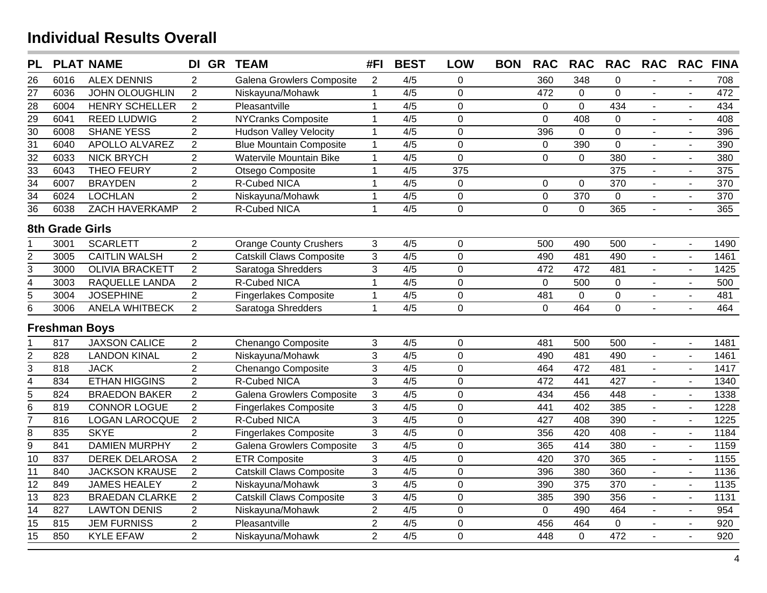| <b>PL</b>       |                        | <b>PLAT NAME</b>       | DI GR            | <b>TEAM</b>                     | #FI            | <b>BEST</b>      | <b>LOW</b>       | <b>BON</b> | <b>RAC</b>     | <b>RAC</b>     | <b>RAC</b>      | <b>RAC</b>                | <b>RAC</b>               | <b>FINA</b>      |
|-----------------|------------------------|------------------------|------------------|---------------------------------|----------------|------------------|------------------|------------|----------------|----------------|-----------------|---------------------------|--------------------------|------------------|
| 26              | 6016                   | <b>ALEX DENNIS</b>     | $\overline{2}$   | Galena Growlers Composite       | $\overline{2}$ | 4/5              | 0                |            | 360            | 348            | 0               |                           |                          | 708              |
| $\overline{27}$ | 6036                   | <b>JOHN OLOUGHLIN</b>  | $\overline{2}$   | Niskayuna/Mohawk                | $\mathbf{1}$   | $\overline{4/5}$ | $\overline{0}$   |            | 472            | $\mathbf 0$    | $\overline{0}$  |                           | $\sim$                   | 472              |
| 28              | 6004                   | <b>HENRY SCHELLER</b>  | $\overline{2}$   | Pleasantville                   | $\mathbf{1}$   | 4/5              | $\mathbf 0$      |            | $\mathbf 0$    | $\overline{0}$ | 434             | $\blacksquare$            | $\sim$                   | 434              |
| $\overline{29}$ | 6041                   | <b>REED LUDWIG</b>     | $\overline{2}$   | <b>NYCranks Composite</b>       | $\mathbf{1}$   | 4/5              | $\mathbf 0$      |            | $\mathbf 0$    | 408            | 0               | $\blacksquare$            | $\sim$                   | 408              |
| $\overline{30}$ | 6008                   | <b>SHANE YESS</b>      | $\overline{2}$   | <b>Hudson Valley Velocity</b>   | $\mathbf{1}$   | 4/5              | $\mathbf 0$      |            | 396            | $\mathbf 0$    | $\overline{0}$  | $\blacksquare$            | $\sim$                   | 396              |
| $\overline{31}$ | 6040                   | <b>APOLLO ALVAREZ</b>  | $\overline{2}$   | <b>Blue Mountain Composite</b>  | $\mathbf 1$    | 4/5              | $\mathbf 0$      |            | $\mathbf 0$    | 390            | $\overline{0}$  |                           | $\sim$                   | 390              |
| 32              | 6033                   | <b>NICK BRYCH</b>      | $\overline{2}$   | Watervile Mountain Bike         | $\mathbf{1}$   | 4/5              | $\overline{0}$   |            | $\mathbf 0$    | $\mathbf 0$    | 380             |                           | $\sim$                   | 380              |
| $\overline{33}$ | 6043                   | <b>THEO FEURY</b>      | $\boldsymbol{2}$ | Otsego Composite                | $\mathbf{1}$   | 4/5              | $\overline{375}$ |            |                |                | $\frac{1}{375}$ |                           | $\sim$                   | $\frac{1}{375}$  |
| $\overline{34}$ | 6007                   | <b>BRAYDEN</b>         | $\overline{2}$   | R-Cubed NICA                    | $\overline{1}$ | 4/5              | $\mathbf 0$      |            | $\mathbf 0$    | $\mathbf 0$    | 370             |                           | $\sim$                   | 370              |
| $\overline{34}$ | 6024                   | <b>LOCHLAN</b>         | $\overline{2}$   | Niskayuna/Mohawk                | $\mathbf{1}$   | 4/5              | $\mathbf 0$      |            | $\pmb{0}$      | 370            | 0               | $\mathbb{Z}^{\mathbb{Z}}$ | $\sim$                   | $\overline{370}$ |
| $\overline{36}$ | 6038                   | ZACH HAVERKAMP         | $\overline{2}$   | R-Cubed NICA                    | $\mathbf{1}$   | 4/5              | $\mathbf 0$      |            | $\mathbf 0$    | $\mathbf 0$    | 365             | $\omega$                  | $\sim$                   | 365              |
|                 | <b>8th Grade Girls</b> |                        |                  |                                 |                |                  |                  |            |                |                |                 |                           |                          |                  |
|                 | 3001                   | <b>SCARLETT</b>        | $\overline{2}$   | <b>Orange County Crushers</b>   | $\mathfrak{S}$ | 4/5              | $\pmb{0}$        |            | 500            | 490            | 500             | $\mathbf{r}$              | $\sim$                   | 1490             |
| $\overline{c}$  | 3005                   | <b>CAITLIN WALSH</b>   | $\overline{2}$   | Catskill Claws Composite        | $\overline{3}$ | 4/5              | $\overline{0}$   |            | 490            | 481            | 490             |                           | $\sim$                   | 1461             |
| 3               | 3000                   | <b>OLIVIA BRACKETT</b> | $\overline{2}$   | Saratoga Shredders              | 3              | 4/5              | $\pmb{0}$        |            | 472            | 472            | 481             | $\blacksquare$            | $\sim$                   | 1425             |
| 4               | 3003                   | RAQUELLE LANDA         | $\overline{2}$   | R-Cubed NICA                    | $\overline{1}$ | 4/5              | $\mathbf 0$      |            | $\overline{0}$ | 500            | $\mathbf 0$     | $\blacksquare$            | $\sim$                   | 500              |
| 5               | 3004                   | <b>JOSEPHINE</b>       | $\overline{2}$   | <b>Fingerlakes Composite</b>    | $\mathbf 1$    | 4/5              | $\pmb{0}$        |            | 481            | $\pmb{0}$      | $\pmb{0}$       | $\overline{\phantom{a}}$  | $\sim$                   | 481              |
| 6               | 3006                   | ANELA WHITBECK         | $\overline{2}$   | Saratoga Shredders              | $\overline{1}$ | 4/5              | $\Omega$         |            | $\Omega$       | 464            | $\overline{0}$  |                           |                          | 464              |
|                 | <b>Freshman Boys</b>   |                        |                  |                                 |                |                  |                  |            |                |                |                 |                           |                          |                  |
|                 | 817                    | <b>JAXSON CALICE</b>   | $\overline{2}$   | Chenango Composite              | 3              | 4/5              | $\mathbf 0$      |            | 481            | 500            | 500             |                           | $\overline{a}$           | 1481             |
| $\overline{2}$  | 828                    | <b>LANDON KINAL</b>    | $\overline{2}$   | Niskayuna/Mohawk                | $\overline{3}$ | $\overline{4/5}$ | $\mathbf 0$      |            | 490            | 481            | 490             |                           |                          | 1461             |
| $\overline{3}$  | 818                    | <b>JACK</b>            | $\overline{2}$   | Chenango Composite              | $\overline{3}$ | 4/5              | $\mathbf 0$      |            | 464            | 472            | 481             |                           | $\sim$                   | 1417             |
| $\overline{4}$  | 834                    | <b>ETHAN HIGGINS</b>   | $\overline{2}$   | <b>R-Cubed NICA</b>             | $\overline{3}$ | $\overline{4/5}$ | $\overline{0}$   |            | 472            | 441            | 427             | $\mathbf{r}$              | $\overline{a}$           | 1340             |
| $\overline{5}$  | 824                    | <b>BRAEDON BAKER</b>   | $\overline{2}$   | Galena Growlers Composite       | $\overline{3}$ | 4/5              | $\overline{0}$   |            | 434            | 456            | 448             |                           | $\overline{a}$           | 1338             |
| $\overline{6}$  | 819                    | <b>CONNOR LOGUE</b>    | $\overline{2}$   | <b>Fingerlakes Composite</b>    | 3              | 4/5              | $\mathbf 0$      |            | 441            | 402            | 385             | $\blacksquare$            | $\overline{a}$           | 1228             |
| 7               | 816                    | <b>LOGAN LAROCQUE</b>  | $\overline{2}$   | R-Cubed NICA                    | $\overline{3}$ | 4/5              | $\mathbf 0$      |            | 427            | 408            | 390             | $\blacksquare$            | $\overline{\phantom{a}}$ | 1225             |
| $\overline{8}$  | 835                    | <b>SKYE</b>            | $\overline{2}$   | <b>Fingerlakes Composite</b>    | $\overline{3}$ | 4/5              | $\mathbf 0$      |            | 356            | 420            | 408             | $\blacksquare$            | $\overline{\phantom{a}}$ | 1184             |
| $\overline{9}$  | 841                    | <b>DAMIEN MURPHY</b>   | $\overline{2}$   | Galena Growlers Composite       | $\overline{3}$ | $\overline{4/5}$ | $\overline{0}$   |            | 365            | 414            | 380             | $\blacksquare$            | $\sim$                   | 1159             |
| 10              | 837                    | <b>DEREK DELAROSA</b>  | $\overline{2}$   | <b>ETR Composite</b>            | $\overline{3}$ | 4/5              | $\mathbf 0$      |            | 420            | 370            | 365             |                           | $\sim$                   | 1155             |
| $\overline{11}$ | 840                    | <b>JACKSON KRAUSE</b>  | $\overline{2}$   | <b>Catskill Claws Composite</b> | $\overline{3}$ | $\overline{4/5}$ | $\overline{0}$   |            | 396            | 380            | 360             |                           | $\sim$                   | 1136             |
| $\overline{12}$ | 849                    | <b>JAMES HEALEY</b>    | $\overline{2}$   | Niskayuna/Mohawk                | $\overline{3}$ | 4/5              | $\mathbf 0$      |            | 390            | 375            | 370             | $\mathbf{r}$              | $\sim$                   | 1135             |
| $\overline{13}$ | 823                    | <b>BRAEDAN CLARKE</b>  | $\overline{2}$   | <b>Catskill Claws Composite</b> | $\overline{3}$ | 4/5              | $\overline{0}$   |            | 385            | 390            | 356             | $\blacksquare$            | $\mathbf{r}$             | 1131             |
| 14              | 827                    | <b>LAWTON DENIS</b>    | $\overline{2}$   | Niskayuna/Mohawk                | $\overline{2}$ | 4/5              | $\mathbf 0$      |            | $\mathsf 0$    | 490            | 464             | $\blacksquare$            | $\overline{a}$           | 954              |
| $\overline{15}$ | 815                    | <b>JEM FURNISS</b>     | $\overline{2}$   | Pleasantville                   | $\overline{2}$ | 4/5              | $\mathbf 0$      |            | 456            | 464            | 0               | $\blacksquare$            | $\sim$                   | 920              |
| $\overline{15}$ | 850                    | <b>KYLE EFAW</b>       | $\overline{2}$   | Niskayuna/Mohawk                | $\overline{2}$ | 4/5              | $\overline{0}$   |            | 448            | $\mathbf 0$    | 472             |                           | $\overline{a}$           | 920              |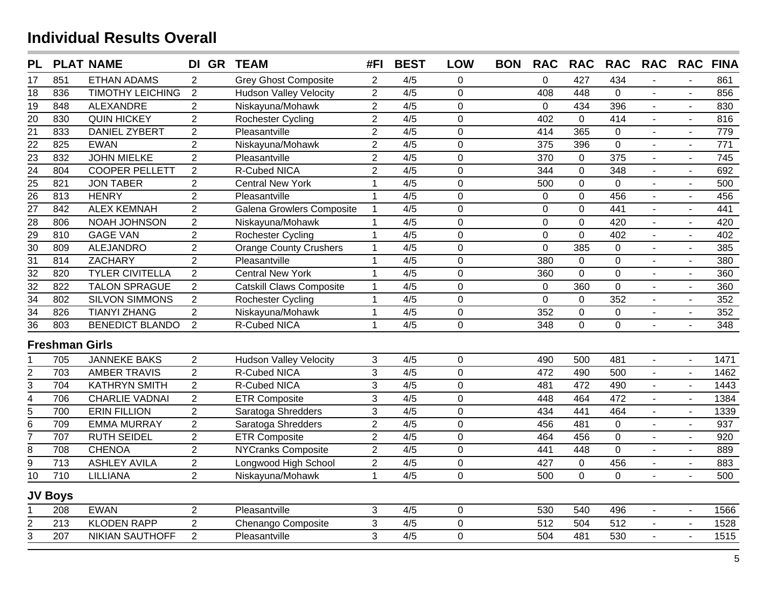| <b>PL</b>               |                       | <b>PLAT NAME</b>        | DI GR TEAM     |                                 | #FI            | <b>BEST</b>      | <b>LOW</b>     | <b>BON</b> | <b>RAC</b>  | <b>RAC</b>     | <b>RAC</b>       | <b>RAC</b>     | <b>RAC</b>     | <b>FINA</b>      |
|-------------------------|-----------------------|-------------------------|----------------|---------------------------------|----------------|------------------|----------------|------------|-------------|----------------|------------------|----------------|----------------|------------------|
| 17                      | 851                   | <b>ETHAN ADAMS</b>      | 2              | <b>Grey Ghost Composite</b>     | $\overline{2}$ | 4/5              | 0              |            | 0           | 427            | 434              |                | $\overline{a}$ | 861              |
| 18                      | 836                   | <b>TIMOTHY LEICHING</b> | 2              | <b>Hudson Valley Velocity</b>   | $\overline{2}$ | 4/5              | $\overline{0}$ |            | 408         | 448            | 0                |                |                | 856              |
| 19                      | 848                   | <b>ALEXANDRE</b>        | $\overline{2}$ | Niskayuna/Mohawk                | $\overline{2}$ | 4/5              | $\pmb{0}$      |            | $\pmb{0}$   | 434            | 396              | $\blacksquare$ | $\blacksquare$ | 830              |
| $\overline{20}$         | 830                   | <b>QUIN HICKEY</b>      | $\overline{2}$ | Rochester Cycling               | $\overline{2}$ | 4/5              | $\overline{0}$ |            | 402         | $\mathbf 0$    | 414              | $\blacksquare$ | $\sim$         | 816              |
| $\overline{21}$         | 833                   | <b>DANIEL ZYBERT</b>    | $\overline{2}$ | Pleasantville                   | $\overline{2}$ | 4/5              | $\mathbf 0$    |            | 414         | 365            | 0                |                | $\blacksquare$ | 779              |
| $\overline{22}$         | 825                   | <b>EWAN</b>             | $\overline{2}$ | Niskayuna/Mohawk                | $\overline{2}$ | 4/5              | $\overline{0}$ |            | 375         | 396            | $\overline{0}$   |                | $\sim$         | $\frac{1}{771}$  |
| $\overline{23}$         | 832                   | <b>JOHN MIELKE</b>      | $\overline{2}$ | Pleasantville                   | $\overline{2}$ | 4/5              | $\overline{0}$ |            | 370         | $\mathbf 0$    | 375              | $\mathbf{u}$   | $\sim$         | 745              |
| $\overline{24}$         | 804                   | <b>COOPER PELLETT</b>   | $\overline{2}$ | <b>R-Cubed NICA</b>             | $\overline{2}$ | $\overline{4/5}$ | $\overline{0}$ |            | 344         | $\overline{0}$ | 348              |                | $\sim$         | 692              |
| $\frac{25}{26}$         | 821                   | <b>JON TABER</b>        | $\overline{2}$ | <b>Central New York</b>         | $\overline{1}$ | 4/5              | $\mathbf 0$    |            | 500         | $\mathbf 0$    | $\mathbf 0$      |                | $\sim$         | 500              |
|                         | 813                   | <b>HENRY</b>            | $\overline{2}$ | Pleasantville                   | $\mathbf{1}$   | 4/5              | $\overline{0}$ |            | $\mathbf 0$ | $\mathbf 0$    | 456              | $\blacksquare$ | $\mathbf{r}$   | 456              |
| $\overline{27}$         | 842                   | <b>ALEX KEMNAH</b>      | $\overline{2}$ | Galena Growlers Composite       | $\mathbf{1}$   | 4/5              | $\mathbf 0$    |            | $\mathbf 0$ | $\mathbf 0$    | 441              |                | $\overline{a}$ | 441              |
| $\overline{28}$         | 806                   | NOAH JOHNSON            | $\overline{2}$ | Niskayuna/Mohawk                | $\mathbf{1}$   | 4/5              | $\mathbf 0$    |            | $\mathbf 0$ | $\mathbf 0$    | 420              | $\blacksquare$ | $\sim$         | 420              |
| $\frac{29}{30}$         | 810                   | <b>GAGE VAN</b>         | $\overline{2}$ | <b>Rochester Cycling</b>        | $\mathbf 1$    | 4/5              | $\mathbf 0$    |            | $\pmb{0}$   | $\mathbf 0$    | 402              | $\blacksquare$ | $\sim$         | 402              |
|                         | 809                   | <b>ALEJANDRO</b>        | $\overline{2}$ | <b>Orange County Crushers</b>   | $\mathbf 1$    | 4/5              | $\mathbf 0$    |            | $\mathbf 0$ | 385            | 0                | $\blacksquare$ | $\sim$         | 385              |
| $\overline{31}$         | 814                   | <b>ZACHARY</b>          | $\overline{2}$ | Pleasantville                   | $\mathbf{1}$   | 4/5              | $\overline{0}$ |            | 380         | $\mathbf 0$    | $\overline{0}$   | $\sim$         | $\overline{a}$ | 380              |
| $\overline{32}$         | 820                   | <b>TYLER CIVITELLA</b>  | $\overline{2}$ | <b>Central New York</b>         | $\mathbf{1}$   | 4/5              | $\mathbf 0$    |            | 360         | $\mathbf 0$    | $\overline{0}$   | $\blacksquare$ | $\sim$         | 360              |
| $\overline{32}$         | 822                   | <b>TALON SPRAGUE</b>    | $\overline{2}$ | <b>Catskill Claws Composite</b> | $\mathbf{1}$   | 4/5              | $\overline{0}$ |            | $\mathbf 0$ | 360            | $\overline{0}$   | $\blacksquare$ | $\overline{a}$ | 360              |
| $\overline{34}$         | 802                   | <b>SILVON SIMMONS</b>   | $\overline{2}$ | Rochester Cycling               | $\mathbf{1}$   | 4/5              | $\mathbf 0$    |            | 0           | $\mathbf 0$    | 352              | $\blacksquare$ | $\blacksquare$ | 352              |
| $\overline{34}$         | 826                   | <b>TIANYI ZHANG</b>     | $\overline{2}$ | Niskayuna/Mohawk                | $\mathbf{1}$   | 4/5              | $\mathbf 0$    |            | 352         | $\overline{0}$ | 0                | $\blacksquare$ | $\blacksquare$ | 352              |
| $\overline{36}$         | 803                   | <b>BENEDICT BLANDO</b>  | 2              | R-Cubed NICA                    | $\mathbf 1$    | 4/5              | $\mathbf 0$    |            | 348         | $\mathbf 0$    | $\overline{0}$   | $\blacksquare$ | $\overline{a}$ | 348              |
|                         | <b>Freshman Girls</b> |                         |                |                                 |                |                  |                |            |             |                |                  |                |                |                  |
|                         | 705                   | <b>JANNEKE BAKS</b>     | $\overline{2}$ | <b>Hudson Valley Velocity</b>   | $\mathbf{3}$   | 4/5              | $\mathbf 0$    |            | 490         | 500            | 481              | $\mathbf{r}$   | $\mathbf{r}$   | 1471             |
| $\overline{\mathbf{c}}$ | 703                   | <b>AMBER TRAVIS</b>     | $\overline{2}$ | R-Cubed NICA                    | 3              | 4/5              | $\overline{0}$ |            | 472         | 490            | 500              | $\mathbf{u}$   | $\sim$         | 1462             |
| $\overline{3}$          | 704                   | <b>KATHRYN SMITH</b>    | $\overline{2}$ | R-Cubed NICA                    | $\mathfrak{S}$ | 4/5              | $\overline{0}$ |            | 481         | 472            | 490              | $\blacksquare$ | $\sim$         | 1443             |
| $\overline{\mathbf{4}}$ | 706                   | <b>CHARLIE VADNAI</b>   | $\overline{2}$ | <b>ETR Composite</b>            | $\mathfrak{S}$ | 4/5              | $\overline{0}$ |            | 448         | 464            | 472              | $\blacksquare$ | $\sim$         | 1384             |
| $\overline{5}$          | 700                   | <b>ERIN FILLION</b>     | $\overline{2}$ | Saratoga Shredders              | 3              | 4/5              | $\mathbf 0$    |            | 434         | 441            | 464              | $\blacksquare$ | $\sim$         | 1339             |
| $6\overline{6}$         | 709                   | <b>EMMA MURRAY</b>      | $\overline{2}$ | Saratoga Shredders              | $\overline{2}$ | 4/5              | $\mathbf 0$    |            | 456         | 481            | $\mathbf 0$      | $\blacksquare$ | $\sim$         | 937              |
| $\overline{7}$          | 707                   | <b>RUTH SEIDEL</b>      | $\overline{2}$ | <b>ETR Composite</b>            | $\overline{2}$ | 4/5              | $\overline{0}$ |            | 464         | 456            | $\overline{0}$   |                | $\overline{a}$ | $\overline{920}$ |
| $\bf 8$                 | 708                   | <b>CHENOA</b>           | $\overline{2}$ | <b>NYCranks Composite</b>       | $\overline{2}$ | 4/5              | $\mathbf 0$    |            | 441         | 448            | $\overline{0}$   | $\blacksquare$ | $\blacksquare$ | 889              |
| $\overline{9}$          | $\overline{713}$      | <b>ASHLEY AVILA</b>     | $\overline{2}$ | Longwood High School            | $\overline{2}$ | 4/5              | $\mathbf 0$    |            | 427         | $\mathbf 0$    | 456              | $\sim$         | $\blacksquare$ | 883              |
| $\overline{10}$         | 710                   | <b>LILLIANA</b>         | $\overline{2}$ | Niskayuna/Mohawk                | $\mathbf{1}$   | 4/5              | $\overline{0}$ |            | 500         | $\overline{0}$ | 0                | $\blacksquare$ | $\overline{a}$ | 500              |
|                         | <b>JV Boys</b>        |                         |                |                                 |                |                  |                |            |             |                |                  |                |                |                  |
|                         | 208                   | <b>EWAN</b>             | $\overline{c}$ | Pleasantville                   | $\sqrt{3}$     | 4/5              | $\mathbf 0$    |            | 530         | 540            | 496              |                | $\sim$         | 1566             |
| $\overline{\mathbf{c}}$ | $\overline{213}$      | <b>KLODEN RAPP</b>      | $\overline{2}$ | Chenango Composite              | 3              | $\overline{4/5}$ | $\mathbf 0$    |            | 512         | 504            | $\overline{512}$ | $\mathbf{r}$   | $\sim$         | 1528             |
| $\overline{3}$          | 207                   | <b>NIKIAN SAUTHOFF</b>  | $\overline{2}$ | Pleasantville                   | 3              | 4/5              | $\overline{0}$ |            | 504         | 481            | 530              |                | $\mathbb{Z}$   | 1515             |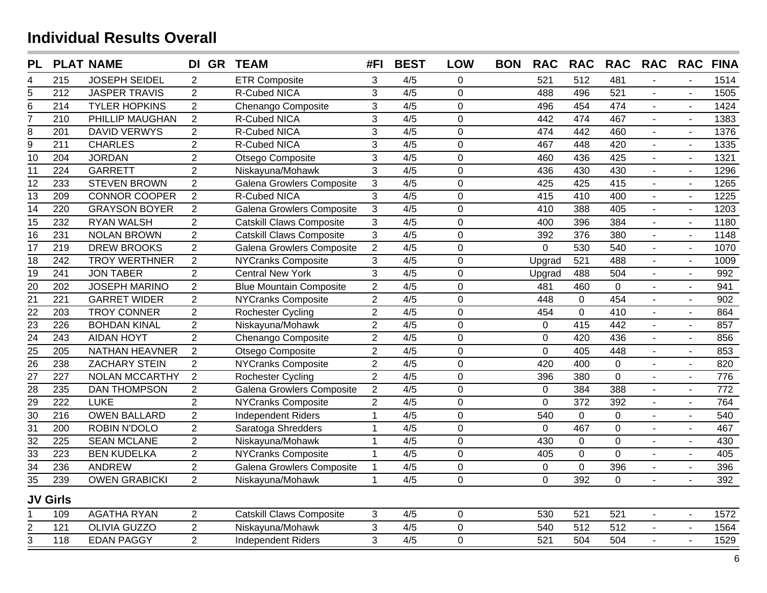| <b>PL</b>       |                  | <b>PLAT NAME</b>      | DI GR TEAM     |                                 | #FI            | <b>BEST</b>      | <b>LOW</b>     | <b>BON</b> | <b>RAC</b>  | <b>RAC</b>     | <b>RAC</b>       | <b>RAC</b>               | <b>RAC</b>     | <b>FINA</b>     |
|-----------------|------------------|-----------------------|----------------|---------------------------------|----------------|------------------|----------------|------------|-------------|----------------|------------------|--------------------------|----------------|-----------------|
| 4               | 215              | <b>JOSEPH SEIDEL</b>  | $\overline{2}$ | <b>ETR Composite</b>            | 3              | 4/5              | 0              |            | 521         | 512            | 481              |                          |                | 1514            |
| $\overline{5}$  | $\overline{212}$ | <b>JASPER TRAVIS</b>  | $\overline{2}$ | R-Cubed NICA                    | 3              | $\overline{4/5}$ | $\mathbf 0$    |            | 488         | 496            | 521              | $\blacksquare$           |                | 1505            |
| $\overline{6}$  | 214              | <b>TYLER HOPKINS</b>  | $\overline{2}$ | Chenango Composite              | 3              | 4/5              | $\mathbf 0$    |            | 496         | 454            | 474              | $\overline{\phantom{0}}$ |                | 1424            |
| $\overline{7}$  | 210              | PHILLIP MAUGHAN       | $\overline{2}$ | R-Cubed NICA                    | 3              | $\overline{4/5}$ | $\Omega$       |            | 442         | 474            | 467              |                          |                | 1383            |
| $\bf 8$         | 201              | <b>DAVID VERWYS</b>   | $\overline{2}$ | R-Cubed NICA                    | $\sqrt{3}$     | 4/5              | $\mathbf 0$    |            | 474         | 442            | 460              |                          | ÷,             | 1376            |
| $\overline{9}$  | $\overline{211}$ | <b>CHARLES</b>        | $\overline{2}$ | R-Cubed NICA                    | $\mathbf{3}$   | 4/5              | $\overline{0}$ |            | 467         | 448            | 420              | $\mathbf{r}$             | $\mathbf{r}$   | 1335            |
| 10              | 204              | <b>JORDAN</b>         | $\overline{2}$ | Otsego Composite                | 3              | 4/5              | $\mathbf 0$    |            | 460         | 436            | 425              | $\overline{a}$           | $\sim$         | 1321            |
| $\overline{11}$ | 224              | <b>GARRETT</b>        | $\overline{2}$ | Niskayuna/Mohawk                | 3              | 4/5              | $\mathbf 0$    |            | 436         | 430            | 430              | $\overline{a}$           | $\sim$         | 1296            |
| $\overline{12}$ | 233              | <b>STEVEN BROWN</b>   | $\overline{2}$ | Galena Growlers Composite       | 3              | 4/5              | $\mathbf 0$    |            | 425         | 425            | 415              | ÷.                       | $\blacksquare$ | 1265            |
| $\overline{13}$ | $\overline{209}$ | <b>CONNOR COOPER</b>  | $\overline{2}$ | <b>R-Cubed NICA</b>             | $\overline{3}$ | 4/5              | $\mathbf 0$    |            | 415         | 410            | 400              | ÷.                       | $\blacksquare$ | 1225            |
| $\overline{14}$ | 220              | <b>GRAYSON BOYER</b>  | $\overline{2}$ | Galena Growlers Composite       | $\mathfrak{Z}$ | 4/5              | $\mathbf 0$    |            | 410         | 388            | 405              | $\blacksquare$           | $\blacksquare$ | 1203            |
| $\overline{15}$ | 232              | <b>RYAN WALSH</b>     | $\overline{2}$ | <b>Catskill Claws Composite</b> | $\overline{3}$ | 4/5              | $\overline{0}$ |            | 400         | 396            | 384              | $\blacksquare$           | $\blacksquare$ | 1180            |
| $\overline{16}$ | 231              | <b>NOLAN BROWN</b>    | $\overline{2}$ | <b>Catskill Claws Composite</b> | 3              | 4/5              | $\mathbf 0$    |            | 392         | 376            | 380              | $\blacksquare$           | $\blacksquare$ | 1148            |
| $\overline{17}$ | 219              | <b>DREW BROOKS</b>    | $\overline{2}$ | Galena Growlers Composite       | $\overline{2}$ | 4/5              | $\mathbf 0$    |            | $\mathbf 0$ | 530            | 540              | $\blacksquare$           | $\blacksquare$ | 1070            |
| $\overline{18}$ | 242              | <b>TROY WERTHNER</b>  | $\overline{2}$ | <b>NYCranks Composite</b>       | 3              | 4/5              | $\mathbf 0$    |            | Upgrad      | 521            | 488              | $\blacksquare$           | $\blacksquare$ | 1009            |
| $\overline{19}$ | 241              | <b>JON TABER</b>      | $\overline{2}$ | <b>Central New York</b>         | $\overline{3}$ | 4/5              | $\overline{0}$ |            | Upgrad      | 488            | 504              | $\blacksquare$           |                | 992             |
| 20              | 202              | <b>JOSEPH MARINO</b>  | $\overline{2}$ | <b>Blue Mountain Composite</b>  | $\overline{2}$ | 4/5              | $\mathbf 0$    |            | 481         | 460            | $\mathbf 0$      | $\blacksquare$           |                | 941             |
| $\overline{21}$ | $\overline{221}$ | <b>GARRET WIDER</b>   | $\overline{2}$ | <b>NYCranks Composite</b>       | $\overline{2}$ | $\overline{4/5}$ | $\mathbf 0$    |            | 448         | $\mathbf 0$    | 454              | $\blacksquare$           | $\blacksquare$ | 902             |
| $\overline{22}$ | $\overline{203}$ | <b>TROY CONNER</b>    | $\overline{2}$ | Rochester Cycling               | $\overline{2}$ | 4/5              | $\overline{0}$ |            | 454         | $\overline{0}$ | 410              | $\blacksquare$           | $\blacksquare$ | 864             |
| $\overline{23}$ | 226              | <b>BOHDAN KINAL</b>   | $\overline{2}$ | Niskayuna/Mohawk                | $\overline{2}$ | 4/5              | $\pmb{0}$      |            | $\mathbf 0$ | 415            | 442              | $\overline{a}$           | $\sim$         | 857             |
| $\overline{24}$ | 243              | <b>AIDAN HOYT</b>     | $\overline{2}$ | Chenango Composite              | $\overline{2}$ | 4/5              | $\mathbf 0$    |            | $\pmb{0}$   | 420            | 436              | $\blacksquare$           | $\sim$         | 856             |
| $\overline{25}$ | 205              | <b>NATHAN HEAVNER</b> | $\overline{2}$ | Otsego Composite                | $\overline{2}$ | 4/5              | $\mathbf 0$    |            | $\mathbf 0$ | 405            | 448              | ä,                       | $\sim$         | 853             |
| $\frac{1}{26}$  | 238              | <b>ZACHARY STEIN</b>  | $\overline{2}$ | <b>NYCranks Composite</b>       | $\overline{2}$ | 4/5              | $\mathbf 0$    |            | 420         | 400            | $\mathbf 0$      | $\overline{a}$           | $\overline{a}$ | 820             |
| $\overline{27}$ | $\overline{227}$ | <b>NOLAN MCCARTHY</b> | $\overline{2}$ | Rochester Cycling               | $\overline{2}$ | 4/5              | $\mathbf 0$    |            | 396         | 380            | $\overline{0}$   | $\overline{a}$           | $\blacksquare$ | 776             |
| $\overline{28}$ | 235              | <b>DAN THOMPSON</b>   | $\overline{2}$ | Galena Growlers Composite       | $\overline{2}$ | 4/5              | $\overline{0}$ |            | $\mathbf 0$ | 384            | 388              | ÷.                       | $\blacksquare$ | $\frac{1}{772}$ |
| $\overline{29}$ | 222              | <b>LUKE</b>           | $\overline{2}$ | <b>NYCranks Composite</b>       | $\overline{2}$ | 4/5              | $\mathbf 0$    |            | $\mathbf 0$ | 372            | 392              | ÷,                       | $\blacksquare$ | 764             |
| $\overline{30}$ | 216              | <b>OWEN BALLARD</b>   | $\overline{2}$ | <b>Independent Riders</b>       | $\mathbf{1}$   | 4/5              | $\mathbf 0$    |            | 540         | 0              | $\mathbf 0$      | $\blacksquare$           | $\blacksquare$ | 540             |
| $\overline{31}$ | 200              | ROBIN N'DOLO          | $\overline{2}$ | Saratoga Shredders              | $\overline{1}$ | 4/5              | $\mathbf 0$    |            | $\mathbf 0$ | 467            | $\pmb{0}$        | $\blacksquare$           | $\blacksquare$ | 467             |
| $\overline{32}$ | $\overline{225}$ | <b>SEAN MCLANE</b>    | $\overline{2}$ | Niskayuna/Mohawk                | $\overline{1}$ | 4/5              | $\mathbf 0$    |            | 430         | 0              | $\mathbf 0$      | L.                       | $\sim$         | 430             |
| $\overline{33}$ | 223              | <b>BEN KUDELKA</b>    | $\overline{2}$ | NYCranks Composite              | $\mathbf{1}$   | 4/5              | $\mathbf 0$    |            | 405         | 0              | $\overline{0}$   | L.                       | $\mathbf{r}$   | 405             |
| $\overline{34}$ | 236              | <b>ANDREW</b>         | $\overline{2}$ | Galena Growlers Composite       | $\mathbf{1}$   | 4/5              | $\mathbf 0$    |            | $\mathbf 0$ | $\overline{0}$ | 396              | $\blacksquare$           | $\blacksquare$ | 396             |
| $\overline{35}$ | 239              | <b>OWEN GRABICKI</b>  | $\overline{2}$ | Niskayuna/Mohawk                | $\overline{1}$ | 4/5              | $\mathbf 0$    |            | $\mathbf 0$ | 392            | $\mathbf 0$      | $\overline{a}$           | $\blacksquare$ | 392             |
|                 | <b>JV Girls</b>  |                       |                |                                 |                |                  |                |            |             |                |                  |                          |                |                 |
|                 | 109              | <b>AGATHA RYAN</b>    | $\overline{2}$ | <b>Catskill Claws Composite</b> | 3              | 4/5              | $\mathbf 0$    |            | 530         | 521            | 521              | $\blacksquare$           | $\overline{a}$ | 1572            |
| $\frac{2}{3}$   | 121              | <b>OLIVIA GUZZO</b>   | $\overline{2}$ | Niskayuna/Mohawk                | 3              | 4/5              | $\mathbf 0$    |            | 540         | 512            | $\overline{512}$ | $\blacksquare$           | $\blacksquare$ | 1564            |
|                 | 118              | <b>EDAN PAGGY</b>     | $\overline{2}$ | <b>Independent Riders</b>       | 3              | $\overline{4/5}$ | $\mathbf 0$    |            | 521         | 504            | 504              |                          |                | 1529            |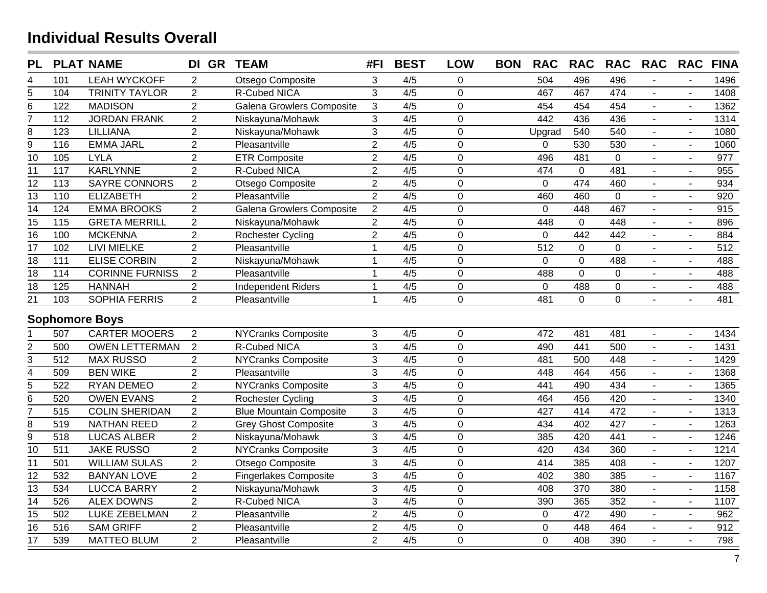| <b>PL</b>               |                   | <b>PLAT NAME</b>       | DI GR          | <b>TEAM</b>                    | #FI            | <b>BEST</b>      | <b>LOW</b>     | <b>BON</b> | <b>RAC</b>  | <b>RAC</b>       | <b>RAC</b>       | <b>RAC</b>                  | <b>RAC</b>               | <b>FINA</b> |
|-------------------------|-------------------|------------------------|----------------|--------------------------------|----------------|------------------|----------------|------------|-------------|------------------|------------------|-----------------------------|--------------------------|-------------|
| 4                       | 101               | <b>LEAH WYCKOFF</b>    | $\overline{2}$ | Otsego Composite               | 3              | 4/5              | 0              |            | 504         | 496              | 496              |                             |                          | 1496        |
| 5                       | 104               | <b>TRINITY TAYLOR</b>  | $\overline{2}$ | <b>R-Cubed NICA</b>            | 3              | $\overline{4/5}$ | $\mathbf 0$    |            | 467         | 467              | 474              |                             |                          | 1408        |
| 6                       | 122               | <b>MADISON</b>         | $\overline{2}$ | Galena Growlers Composite      | $\sqrt{3}$     | 4/5              | $\mathbf 0$    |            | 454         | 454              | 454              |                             | $\sim$                   | 1362        |
| 7                       | 112               | <b>JORDAN FRANK</b>    | $\overline{2}$ | Niskayuna/Mohawk               | 3              | 4/5              | $\mathbf 0$    |            | 442         | 436              | 436              | $\mathbb{Z}^{\mathbb{Z}}$   | $\sim$                   | 1314        |
| 8                       | 123               | LILLIANA               | $\overline{2}$ | Niskayuna/Mohawk               | 3              | 4/5              | $\overline{0}$ |            | Upgrad      | 540              | 540              | $\blacksquare$              | $\sim$                   | 1080        |
| $\overline{9}$          | 116               | <b>EMMA JARL</b>       | $\overline{2}$ | Pleasantville                  | $\overline{2}$ | 4/5              | $\mathbf 0$    |            | 0           | 530              | 530              | $\sim$                      | $\blacksquare$           | 1060        |
| $\overline{10}$         | 105               | <b>LYLA</b>            | $\overline{2}$ | <b>ETR Composite</b>           | $\overline{2}$ | 4/5              | $\overline{0}$ |            | 496         | 481              | $\overline{0}$   | $\blacksquare$              | $\blacksquare$           | 977         |
| $\overline{11}$         | 117               | <b>KARLYNNE</b>        | $\overline{2}$ | <b>R-Cubed NICA</b>            | $\overline{2}$ | 4/5              | $\overline{0}$ |            | 474         | $\mathbf 0$      | 481              | $\blacksquare$              | $\overline{a}$           | 955         |
| $\overline{12}$         | 113               | <b>SAYRE CONNORS</b>   | $\overline{2}$ | Otsego Composite               | $\overline{2}$ | 4/5              | $\mathbf 0$    |            | $\mathbf 0$ | 474              | 460              | $\blacksquare$              | $\sim$                   | 934         |
| $\overline{13}$         | $\frac{110}{110}$ | <b>ELIZABETH</b>       | $\overline{2}$ | Pleasantville                  | $\overline{2}$ | 4/5              | $\mathbf 0$    |            | 460         | 460              | $\mathbf 0$      | $\blacksquare$              | $\sim$                   | 920         |
| 14                      | 124               | <b>EMMA BROOKS</b>     | $\overline{2}$ | Galena Growlers Composite      | $\overline{a}$ | 4/5              | $\mathbf 0$    |            | $\mathbf 0$ | 448              | 467              | $\blacksquare$              | $\blacksquare$           | 915         |
| $\overline{15}$         | 115               | <b>GRETA MERRILL</b>   | $\overline{2}$ | Niskayuna/Mohawk               | $\overline{2}$ | 4/5              | $\overline{0}$ |            | 448         | $\overline{0}$   | 448              | $\blacksquare$              | $\blacksquare$           | 896         |
| 16                      | 100               | <b>MCKENNA</b>         | $\overline{2}$ | Rochester Cycling              | $\overline{2}$ | 4/5              | $\overline{0}$ |            | $\Omega$    | 442              | 442              | $\blacksquare$              | $\sim$                   | 884         |
| $\overline{17}$         | 102               | <b>LIVI MIELKE</b>     | $\overline{2}$ | Pleasantville                  | $\mathbf{1}$   | 4/5              | $\mathbf 0$    |            | 512         | $\mathbf 0$      | $\mathbf 0$      |                             |                          | 512         |
| 18                      | 111               | <b>ELISE CORBIN</b>    | $\overline{2}$ | Niskayuna/Mohawk               | $\mathbf{1}$   | 4/5              | $\mathbf 0$    |            | $\mathbf 0$ | $\mathbf 0$      | 488              |                             |                          | 488         |
| $\overline{18}$         | $\frac{114}{114}$ | <b>CORINNE FURNISS</b> | $\overline{2}$ | Pleasantville                  | $\mathbf{1}$   | 4/5              | $\mathbf 0$    |            | 488         | $\overline{0}$   | $\mathbf 0$      |                             | $\sim$                   | 488         |
| 18                      | 125               | <b>HANNAH</b>          | $\overline{c}$ | <b>Independent Riders</b>      | $\mathbf{1}$   | 4/5              | $\mathbf 0$    |            | $\mathbf 0$ | 488              | $\boldsymbol{0}$ |                             | $\blacksquare$           | 488         |
| $\overline{21}$         | 103               | <b>SOPHIA FERRIS</b>   | $\overline{2}$ | Pleasantville                  | $\overline{1}$ | 4/5              | $\overline{0}$ |            | 481         | $\Omega$         | $\overline{0}$   |                             |                          | 481         |
|                         |                   | <b>Sophomore Boys</b>  |                |                                |                |                  |                |            |             |                  |                  |                             |                          |             |
|                         | 507               | <b>CARTER MOOERS</b>   | $\overline{2}$ | <b>NYCranks Composite</b>      | 3              | 4/5              | $\mathbf 0$    |            | 472         | 481              | 481              | $\blacksquare$              | $\blacksquare$           | 1434        |
| $\overline{c}$          | 500               | <b>OWEN LETTERMAN</b>  | $\overline{2}$ | R-Cubed NICA                   | $\overline{3}$ | 4/5              | $\overline{0}$ |            | 490         | 441              | 500              |                             | $\blacksquare$           | 1431        |
| $\overline{3}$          | $\overline{512}$  | <b>MAX RUSSO</b>       | $\overline{2}$ | <b>NYCranks Composite</b>      | $\overline{3}$ | $\overline{4/5}$ | $\mathbf 0$    |            | 481         | 500              | 448              |                             |                          | 1429        |
| $\overline{\mathbf{4}}$ | 509               | <b>BEN WIKE</b>        | $\overline{c}$ | Pleasantville                  | $\overline{3}$ | $\overline{4/5}$ | $\overline{0}$ |            | 448         | 464              | 456              | $\mathbf{r}$                | $\sim$                   | 1368        |
| $\overline{5}$          | 522               | RYAN DEMEO             | $\overline{2}$ | <b>NYCranks Composite</b>      | 3              | 4/5              | $\overline{0}$ |            | 441         | 490              | 434              | $\blacksquare$              | $\sim$                   | 1365        |
| $\overline{6}$          | 520               | <b>OWEN EVANS</b>      | $\overline{2}$ | <b>Rochester Cycling</b>       | $\overline{3}$ | 4/5              | $\mathbf 0$    |            | 464         | 456              | 420              | $\blacksquare$              | $\sim$                   | 1340        |
| $\overline{7}$          | 515               | <b>COLIN SHERIDAN</b>  | $\overline{2}$ | <b>Blue Mountain Composite</b> | $\overline{3}$ | 4/5              | $\mathbf 0$    |            | 427         | 414              | 472              |                             |                          | 1313        |
| $\overline{\bf 8}$      | 519               | <b>NATHAN REED</b>     | $\overline{2}$ | <b>Grey Ghost Composite</b>    | 3              | 4/5              | $\mathbf 0$    |            | 434         | 402              | 427              |                             | $\blacksquare$           | 1263        |
| $\overline{9}$          | $\overline{518}$  | <b>LUCAS ALBER</b>     | $\overline{2}$ | Niskayuna/Mohawk               | $\overline{3}$ | $\overline{4/5}$ | $\overline{0}$ |            | 385         | 420              | 441              |                             | $\overline{\phantom{a}}$ | 1246        |
| $\overline{10}$         | 511               | <b>JAKE RUSSO</b>      | $\overline{2}$ | <b>NYCranks Composite</b>      | $\overline{3}$ | 4/5              | $\mathbf 0$    |            | 420         | 434              | 360              | $\mathbf{r}$                | $\overline{a}$           | 1214        |
| $\overline{11}$         | 501               | <b>WILLIAM SULAS</b>   | $\overline{2}$ | Otsego Composite               | 3              | 4/5              | $\mathbf 0$    |            | 414         | 385              | 408              | $\blacksquare$              | $\sim$                   | 1207        |
| 12                      | 532               | <b>BANYAN LOVE</b>     | $\overline{2}$ | <b>Fingerlakes Composite</b>   | 3              | 4/5              | $\mathbf 0$    |            | 402         | 380              | 385              | $\blacksquare$              | $\sim$                   | 1167        |
| $\overline{13}$         | $\frac{1}{534}$   | <b>LUCCA BARRY</b>     | $\overline{2}$ | Niskayuna/Mohawk               | 3              | 4/5              | $\overline{0}$ |            | 408         | $\overline{370}$ | 380              | $\blacksquare$              | $\sim$                   | 1158        |
| 14                      | 526               | <b>ALEX DOWNS</b>      | $\overline{2}$ | R-Cubed NICA                   | $\mathfrak{S}$ | 4/5              | $\mathbf 0$    |            | 390         | 365              | 352              | $\mathcal{L}^{\mathcal{A}}$ | $\sim$                   | 1107        |
| 15                      | 502               | <b>LUKE ZEBELMAN</b>   | $\overline{2}$ | Pleasantville                  | $\overline{2}$ | 4/5              | $\mathbf 0$    |            | $\pmb{0}$   | 472              | 490              | $\blacksquare$              | $\sim$                   | 962         |
| 16                      | 516               | <b>SAM GRIFF</b>       | $\overline{2}$ | Pleasantville                  | $\overline{2}$ | 4/5              | $\mathbf 0$    |            | 0           | 448              | 464              | $\blacksquare$              | $\overline{a}$           | 912         |
| $\overline{17}$         | 539               | <b>MATTEO BLUM</b>     | $\overline{2}$ | Pleasantville                  | $\overline{2}$ | 4/5              | 0              |            | 0           | 408              | 390              |                             | $\sim$                   | 798         |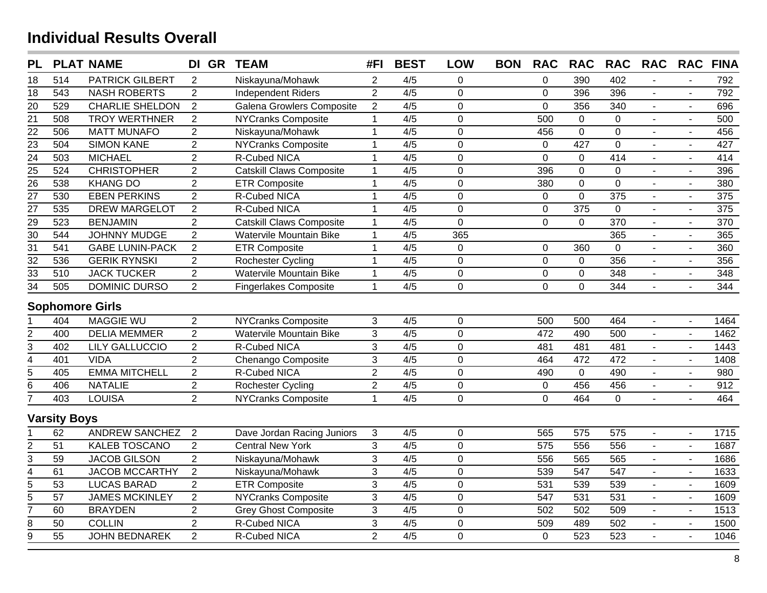| <b>PL</b>       |                     | <b>PLAT NAME</b>       | DI GR          | <b>TEAM</b>                     | #FI            | <b>BEST</b>      | <b>LOW</b>     | <b>BON</b> | <b>RAC</b>     | <b>RAC</b>     | <b>RAC</b>       | <b>RAC</b>     | <b>RAC</b>          | <b>FINA</b> |
|-----------------|---------------------|------------------------|----------------|---------------------------------|----------------|------------------|----------------|------------|----------------|----------------|------------------|----------------|---------------------|-------------|
| 18              | 514                 | <b>PATRICK GILBERT</b> | 2              | Niskayuna/Mohawk                | $\overline{2}$ | 4/5              | 0              |            | $\pmb{0}$      | 390            | 402              |                |                     | 792         |
| 18              | 543                 | <b>NASH ROBERTS</b>    | $\overline{2}$ | <b>Independent Riders</b>       | $\overline{2}$ | $\overline{4/5}$ | $\overline{0}$ |            | $\mathbf 0$    | 396            | 396              |                |                     | 792         |
| 20              | 529                 | <b>CHARLIE SHELDON</b> | $\overline{2}$ | Galena Growlers Composite       | $\overline{2}$ | 4/5              | $\overline{0}$ |            | $\overline{0}$ | 356            | 340              |                | $\mathbf{r}$        | 696         |
| $\overline{21}$ | 508                 | <b>TROY WERTHNER</b>   | $\overline{2}$ | <b>NYCranks Composite</b>       | $\mathbf{1}$   | 4/5              | $\overline{0}$ |            | 500            | $\overline{0}$ | $\overline{0}$   |                | $\mathbf{r}$        | 500         |
| $\frac{22}{23}$ | 506                 | <b>MATT MUNAFO</b>     | $\overline{2}$ | Niskayuna/Mohawk                | $\mathbf{1}$   | 4/5              | $\overline{0}$ |            | 456            | $\overline{0}$ | $\overline{0}$   |                |                     | 456         |
|                 | 504                 | <b>SIMON KANE</b>      | $\overline{2}$ | <b>NYCranks Composite</b>       | $\mathbf{1}$   | 4/5              | $\overline{0}$ |            | $\mathbf 0$    | 427            | $\overline{0}$   | $\mathbf{r}$   | $\mathbf{r}$        | 427         |
| $\overline{24}$ | 503                 | <b>MICHAEL</b>         | $\overline{2}$ | <b>R-Cubed NICA</b>             | $\mathbf{1}$   | 4/5              | $\overline{0}$ |            | $\mathbf 0$    | $\overline{0}$ | 414              | $\blacksquare$ | $\blacksquare$      | 414         |
| $\overline{25}$ | 524                 | <b>CHRISTOPHER</b>     | $\overline{2}$ | <b>Catskill Claws Composite</b> | $\mathbf{1}$   | 4/5              | $\overline{0}$ |            | 396            | $\mathbf 0$    | 0                | $\blacksquare$ | $\blacksquare$      | 396         |
| $\overline{26}$ | 538                 | <b>KHANG DO</b>        | $\overline{2}$ | <b>ETR Composite</b>            | $\mathbf{1}$   | 4/5              | $\overline{0}$ |            | 380            | $\mathbf 0$    | 0                | $\blacksquare$ | $\blacksquare$      | 380         |
| $\overline{27}$ | 530                 | <b>EBEN PERKINS</b>    | $\overline{2}$ | R-Cubed NICA                    | $\mathbf{1}$   | 4/5              | 0              |            | $\mathbf 0$    | $\overline{0}$ | 375              | $\blacksquare$ | $\overline{a}$      | 375         |
| $\overline{27}$ | 535                 | <b>DREW MARGELOT</b>   | $\overline{2}$ | R-Cubed NICA                    | $\mathbf{1}$   | 4/5              | $\mathbf 0$    |            | $\mathbf 0$    | 375            | $\mathbf 0$      | $\blacksquare$ | $\blacksquare$      | 375         |
| $\overline{29}$ | 523                 | <b>BENJAMIN</b>        | $\overline{2}$ | <b>Catskill Claws Composite</b> | $\mathbf{1}$   | 4/5              | $\overline{0}$ |            | $\mathbf 0$    | $\overline{0}$ | 370              | $\blacksquare$ | $\overline{a}$      | 370         |
| $\overline{30}$ | 544                 | <b>JOHNNY MUDGE</b>    | $\overline{2}$ | Watervile Mountain Bike         | $\mathbf{1}$   | 4/5              | 365            |            |                |                | 365              | $\mathbf{r}$   | $\blacksquare$      | 365         |
| $\overline{31}$ | 541                 | <b>GABE LUNIN-PACK</b> | $\overline{2}$ | <b>ETR Composite</b>            | $\mathbf{1}$   | 4/5              | $\mathbf 0$    |            | $\mathbf 0$    | 360            | 0                | $\sim$         | $\overline{a}$      | 360         |
| $\overline{32}$ | 536                 | <b>GERIK RYNSKI</b>    | $\overline{2}$ | <b>Rochester Cycling</b>        | $\mathbf{1}$   | 4/5              | $\mathbf 0$    |            | $\mathbf 0$    | $\mathbf 0$    | 356              | $\sim$         | $\blacksquare$      | 356         |
| $\overline{33}$ | 510                 | <b>JACK TUCKER</b>     | $\overline{2}$ | Watervile Mountain Bike         | $\mathbf{1}$   | 4/5              | 0              |            | $\pmb{0}$      | $\mathbf 0$    | 348              | $\blacksquare$ | $\blacksquare$      | 348         |
| $\overline{34}$ | 505                 | DOMINIC DURSO          | $\overline{2}$ | <b>Fingerlakes Composite</b>    | $\mathbf{1}$   | 4/5              | $\mathbf 0$    |            | $\mathbf 0$    | $\Omega$       | 344              | $\sim$         | $\blacksquare$      | 344         |
|                 |                     | <b>Sophomore Girls</b> |                |                                 |                |                  |                |            |                |                |                  |                |                     |             |
|                 | 404                 | <b>MAGGIE WU</b>       | $\overline{2}$ | <b>NYCranks Composite</b>       | 3              | 4/5              | $\mathbf 0$    |            | 500            | 500            | 464              | $\mathbf{r}$   | $\mathbf{r}$        | 1464        |
| $\overline{2}$  | 400                 | <b>DELIA MEMMER</b>    | $\overline{2}$ | <b>Watervile Mountain Bike</b>  | $\overline{3}$ | 4/5              | $\overline{0}$ |            | 472            | 490            | 500              | $\blacksquare$ | $\blacksquare$      | 1462        |
| $\overline{3}$  | 402                 | <b>LILY GALLUCCIO</b>  | $\overline{2}$ | <b>R-Cubed NICA</b>             | $\overline{3}$ | 4/5              | 0              |            | 481            | 481            | 481              | $\sim$         | $\blacksquare$      | 1443        |
| $\overline{4}$  | 401                 | <b>VIDA</b>            | $\overline{2}$ | Chenango Composite              | 3              | 4/5              | 0              |            | 464            | 472            | 472              | $\mathbf{r}$   | $\overline{a}$      | 1408        |
| $\overline{5}$  | 405                 | <b>EMMA MITCHELL</b>   | $\overline{2}$ | R-Cubed NICA                    | $\overline{2}$ | 4/5              | $\overline{0}$ |            | 490            | $\mathbf 0$    | 490              | $\blacksquare$ | $\blacksquare$      | 980         |
| $\overline{6}$  | 406                 | <b>NATALIE</b>         | $\overline{2}$ | <b>Rochester Cycling</b>        | $\overline{2}$ | 4/5              | $\mathbf 0$    |            | $\mathbf 0$    | 456            | 456              | $\sim$         | $\overline{a}$      | 912         |
| 7               | 403                 | <b>LOUISA</b>          | $\overline{2}$ | <b>NYCranks Composite</b>       | $\mathbf{1}$   | 4/5              | $\overline{0}$ |            | $\overline{0}$ | 464            | $\overline{0}$   | $\sim$         | $\overline{a}$      | 464         |
|                 | <b>Varsity Boys</b> |                        |                |                                 |                |                  |                |            |                |                |                  |                |                     |             |
|                 | 62                  | <b>ANDREW SANCHEZ</b>  | 2              | Dave Jordan Racing Juniors      | 3              | 4/5              | $\mathbf 0$    |            | 565            | 575            | 575              | $\mathbf{r}$   | $\mathbf{r}$        | 1715        |
| $\overline{2}$  | 51                  | <b>KALEB TOSCANO</b>   | $\overline{2}$ | <b>Central New York</b>         | 3              | 4/5              | $\overline{0}$ |            | 575            | 556            | 556              | ÷.             | $\bar{\phantom{a}}$ | 1687        |
| 3               | 59                  | <b>JACOB GILSON</b>    | $\overline{2}$ | Niskayuna/Mohawk                | 3              | 4/5              | $\overline{0}$ |            | 556            | 565            | 565              | $\blacksquare$ | $\mathbf{r}$        | 1686        |
| $\overline{4}$  | 61                  | <b>JACOB MCCARTHY</b>  | $\overline{2}$ | Niskayuna/Mohawk                | 3              | 4/5              | $\overline{0}$ |            | 539            | 547            | 547              | $\mathbf{r}$   | $\mathbf{u}$        | 1633        |
| $\overline{5}$  | 53                  | <b>LUCAS BARAD</b>     | $\overline{2}$ | <b>ETR Composite</b>            | 3              | 4/5              | 0              |            | 531            | 539            | 539              | $\blacksquare$ | $\mathbf{r}$        | 1609        |
| $\overline{5}$  | $\overline{57}$     | <b>JAMES MCKINLEY</b>  | $\overline{2}$ | <b>NYCranks Composite</b>       | $\overline{3}$ | 4/5              | $\overline{0}$ |            | 547            | 531            | $\overline{531}$ | $\sim$         | $\blacksquare$      | 1609        |
| $\overline{7}$  | 60                  | <b>BRAYDEN</b>         | $\overline{2}$ | <b>Grey Ghost Composite</b>     | 3              | 4/5              | $\mathbf 0$    |            | 502            | 502            | 509              | $\blacksquare$ | $\blacksquare$      | 1513        |
| $\overline{8}$  | 50                  | <b>COLLIN</b>          | $\overline{2}$ | R-Cubed NICA                    | $\mathfrak{S}$ | 4/5              | $\overline{0}$ |            | 509            | 489            | 502              | $\blacksquare$ | $\blacksquare$      | 1500        |
| $\overline{9}$  | 55                  | <b>JOHN BEDNAREK</b>   | $\overline{2}$ | R-Cubed NICA                    | $\overline{2}$ | 4/5              | $\overline{0}$ |            | $\mathbf 0$    | 523            | 523              | $\mathbf{r}$   | $\overline{a}$      | 1046        |
|                 |                     |                        |                |                                 |                |                  |                |            |                |                |                  |                |                     |             |